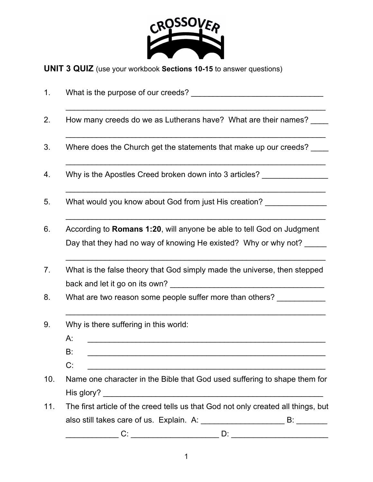

**UNIT 3 QUIZ** (use your workbook **Sections 10-15** to answer questions)

| 1.  | What is the purpose of our creeds?                                                                                                                                                                                                                                                                                                                                                                                                                                                                                            |
|-----|-------------------------------------------------------------------------------------------------------------------------------------------------------------------------------------------------------------------------------------------------------------------------------------------------------------------------------------------------------------------------------------------------------------------------------------------------------------------------------------------------------------------------------|
| 2.  | How many creeds do we as Lutherans have? What are their names? ____                                                                                                                                                                                                                                                                                                                                                                                                                                                           |
| 3.  | Where does the Church get the statements that make up our creeds?                                                                                                                                                                                                                                                                                                                                                                                                                                                             |
| 4.  | Why is the Apostles Creed broken down into 3 articles? _________________________                                                                                                                                                                                                                                                                                                                                                                                                                                              |
| 5.  | What would you know about God from just His creation?                                                                                                                                                                                                                                                                                                                                                                                                                                                                         |
| 6.  | According to Romans 1:20, will anyone be able to tell God on Judgment<br>Day that they had no way of knowing He existed? Why or why not?                                                                                                                                                                                                                                                                                                                                                                                      |
| 7.  | What is the false theory that God simply made the universe, then stepped                                                                                                                                                                                                                                                                                                                                                                                                                                                      |
| 8.  | What are two reason some people suffer more than others? ____________                                                                                                                                                                                                                                                                                                                                                                                                                                                         |
| 9.  | Why is there suffering in this world:<br>A:<br><u> 1980 - Johann Stoff, deutscher Stoff, der Stoff, der Stoff, der Stoff, der Stoff, der Stoff, der Stoff, der S</u><br>B:<br>C:                                                                                                                                                                                                                                                                                                                                              |
| 10. | Name one character in the Bible that God used suffering to shape them for                                                                                                                                                                                                                                                                                                                                                                                                                                                     |
| 11. | The first article of the creed tells us that God not only created all things, but<br>$C: \begin{tabular}{ c c c } \hline \rule{0.3cm}{.03cm} & \rule{0.3cm}{.03cm} \multicolumn{3}{c }{\textbf{C}}: & \rule{0.3cm}{.03cm} \multicolumn{3}{c }{\textbf{C}}: & \rule{0.3cm}{.03cm} \multicolumn{3}{c }{\textbf{C}}: & \rule{0.3cm}{.03cm} \multicolumn{3}{c }{\textbf{C}}: & \rule{0.3cm}{.03cm} \multicolumn{3}{c }{\textbf{C}}: & \rule{0.3cm}{.03cm} \multicolumn{3}{c }{\textbf{C}}: & \$<br>D: ___________________________ |